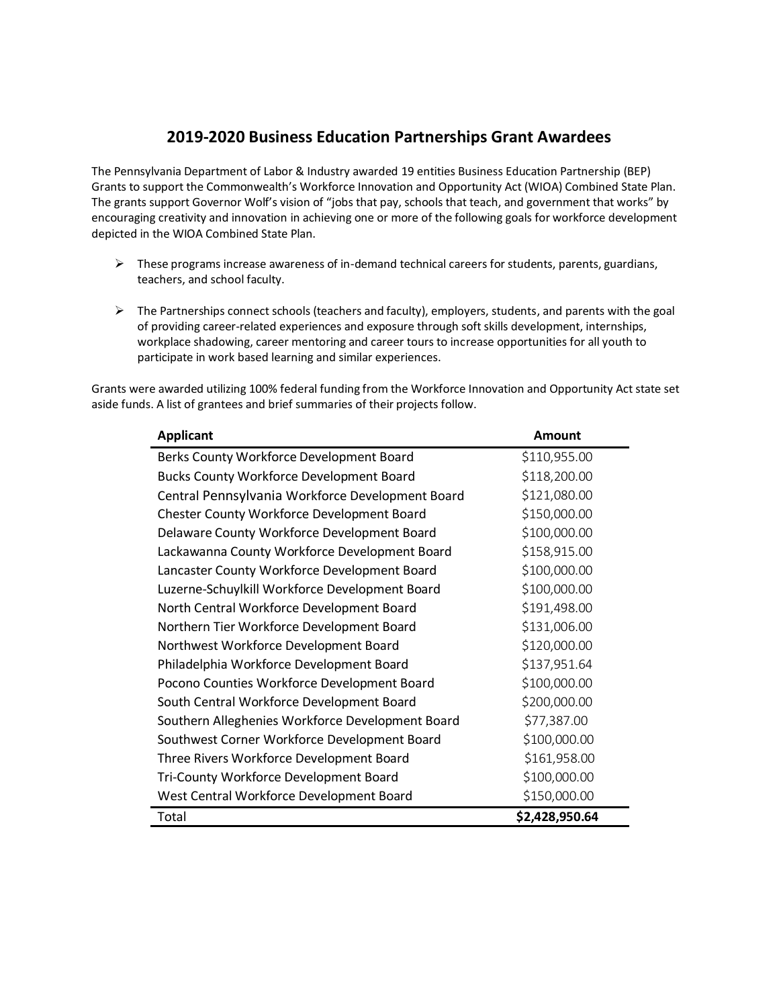# **2019-2020 Business Education Partnerships Grant Awardees**

The Pennsylvania Department of Labor & Industry awarded 19 entities Business Education Partnership (BEP) Grants to support the Commonwealth's Workforce Innovation and Opportunity Act (WIOA) Combined State Plan. The grants support Governor Wolf's vision of "jobs that pay, schools that teach, and government that works" by encouraging creativity and innovation in achieving one or more of the following goals for workforce development depicted in the WIOA Combined State Plan.

- $\triangleright$  These programs increase awareness of in-demand technical careers for students, parents, guardians, teachers, and school faculty.
- $\triangleright$  The Partnerships connect schools (teachers and faculty), employers, students, and parents with the goal of providing career-related experiences and exposure through soft skills development, internships, workplace shadowing, career mentoring and career tours to increase opportunities for all youth to participate in work based learning and similar experiences.

Grants were awarded utilizing 100% federal funding from the Workforce Innovation and Opportunity Act state set aside funds. A list of grantees and brief summaries of their projects follow.

| <b>Applicant</b>                                 | <b>Amount</b>  |
|--------------------------------------------------|----------------|
| Berks County Workforce Development Board         | \$110,955.00   |
| <b>Bucks County Workforce Development Board</b>  | \$118,200.00   |
| Central Pennsylvania Workforce Development Board | \$121,080.00   |
| Chester County Workforce Development Board       | \$150,000.00   |
| Delaware County Workforce Development Board      | \$100,000.00   |
| Lackawanna County Workforce Development Board    | \$158,915.00   |
| Lancaster County Workforce Development Board     | \$100,000.00   |
| Luzerne-Schuylkill Workforce Development Board   | \$100,000.00   |
| North Central Workforce Development Board        | \$191,498.00   |
| Northern Tier Workforce Development Board        | \$131,006.00   |
| Northwest Workforce Development Board            | \$120,000.00   |
| Philadelphia Workforce Development Board         | \$137,951.64   |
| Pocono Counties Workforce Development Board      | \$100,000.00   |
| South Central Workforce Development Board        | \$200,000.00   |
| Southern Alleghenies Workforce Development Board | \$77,387.00    |
| Southwest Corner Workforce Development Board     | \$100,000.00   |
| Three Rivers Workforce Development Board         | \$161,958.00   |
| Tri-County Workforce Development Board           | \$100,000.00   |
| West Central Workforce Development Board         | \$150,000.00   |
| Total                                            | \$2,428,950.64 |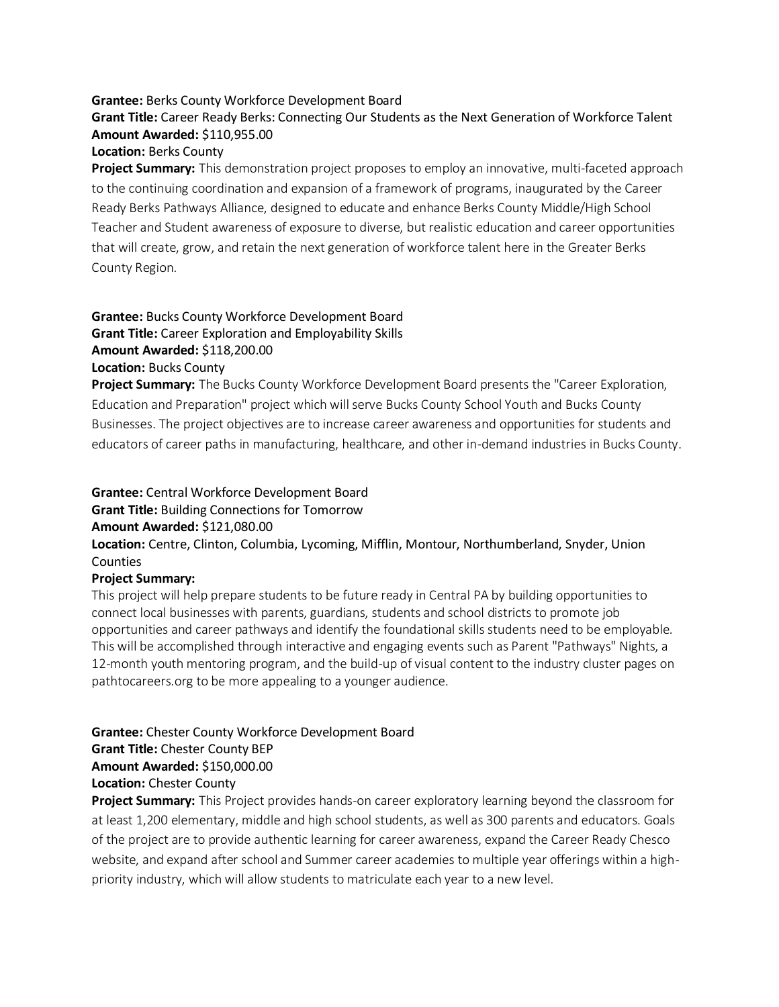#### **Grantee:** Berks County Workforce Development Board

## **Grant Title:** Career Ready Berks: Connecting Our Students as the Next Generation of Workforce Talent **Amount Awarded:** \$110,955.00

#### **Location:** Berks County

**Project Summary:** This demonstration project proposes to employ an innovative, multi-faceted approach to the continuing coordination and expansion of a framework of programs, inaugurated by the Career Ready Berks Pathways Alliance, designed to educate and enhance Berks County Middle/High School Teacher and Student awareness of exposure to diverse, but realistic education and career opportunities that will create, grow, and retain the next generation of workforce talent here in the Greater Berks County Region.

### **Grantee:** Bucks County Workforce Development Board **Grant Title:** Career Exploration and Employability Skills **Amount Awarded:** \$118,200.00 **Location:** Bucks County

**Project Summary:** The Bucks County Workforce Development Board presents the "Career Exploration, Education and Preparation" project which will serve Bucks County School Youth and Bucks County Businesses. The project objectives are to increase career awareness and opportunities for students and educators of career paths in manufacturing, healthcare, and other in-demand industries in Bucks County.

## **Grantee:** Central Workforce Development Board **Grant Title:** Building Connections for Tomorrow **Amount Awarded:** \$121,080.00 **Location:** Centre, Clinton, Columbia, Lycoming, Mifflin, Montour, Northumberland, Snyder, Union **Counties Project Summary:**

This project will help prepare students to be future ready in Central PA by building opportunities to connect local businesses with parents, guardians, students and school districts to promote job opportunities and career pathways and identify the foundational skills students need to be employable. This will be accomplished through interactive and engaging events such as Parent "Pathways" Nights, a 12-month youth mentoring program, and the build-up of visual content to the industry cluster pages on pathtocareers.org to be more appealing to a younger audience.

## **Grantee:** Chester County Workforce Development Board

**Grant Title:** Chester County BEP

#### **Amount Awarded:** \$150,000.00

**Location:** Chester County

**Project Summary:** This Project provides hands-on career exploratory learning beyond the classroom for at least 1,200 elementary, middle and high school students, as well as 300 parents and educators. Goals of the project are to provide authentic learning for career awareness, expand the Career Ready Chesco website, and expand after school and Summer career academies to multiple year offerings within a highpriority industry, which will allow students to matriculate each year to a new level.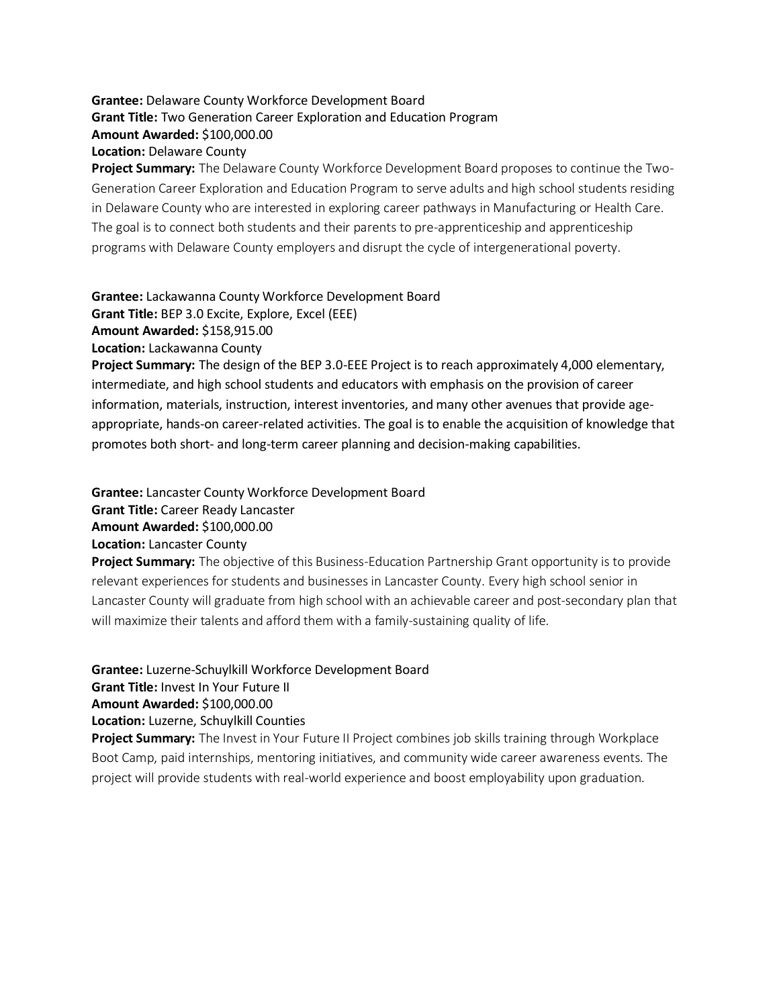## **Grantee:** Delaware County Workforce Development Board **Grant Title:** Two Generation Career Exploration and Education Program **Amount Awarded:** \$100,000.00 **Location:** Delaware County

**Project Summary:** The Delaware County Workforce Development Board proposes to continue the Two-Generation Career Exploration and Education Program to serve adults and high school students residing in Delaware County who are interested in exploring career pathways in Manufacturing or Health Care. The goal is to connect both students and their parents to pre-apprenticeship and apprenticeship programs with Delaware County employers and disrupt the cycle of intergenerational poverty.

**Grantee:** Lackawanna County Workforce Development Board

**Grant Title:** BEP 3.0 Excite, Explore, Excel (EEE)

**Amount Awarded:** \$158,915.00

**Location:** Lackawanna County

**Project Summary:** The design of the BEP 3.0-EEE Project is to reach approximately 4,000 elementary, intermediate, and high school students and educators with emphasis on the provision of career information, materials, instruction, interest inventories, and many other avenues that provide ageappropriate, hands-on career-related activities. The goal is to enable the acquisition of knowledge that promotes both short- and long-term career planning and decision-making capabilities.

**Grantee:** Lancaster County Workforce Development Board **Grant Title:** Career Ready Lancaster **Amount Awarded:** \$100,000.00 **Location:** Lancaster County

**Project Summary:** The objective of this Business-Education Partnership Grant opportunity is to provide relevant experiences for students and businesses in Lancaster County. Every high school senior in Lancaster County will graduate from high school with an achievable career and post-secondary plan that will maximize their talents and afford them with a family-sustaining quality of life.

**Grantee:** Luzerne-Schuylkill Workforce Development Board

**Grant Title:** Invest In Your Future II

**Amount Awarded:** \$100,000.00

**Location:** Luzerne, Schuylkill Counties

**Project Summary:** The Invest in Your Future II Project combines job skills training through Workplace Boot Camp, paid internships, mentoring initiatives, and community wide career awareness events. The project will provide students with real-world experience and boost employability upon graduation.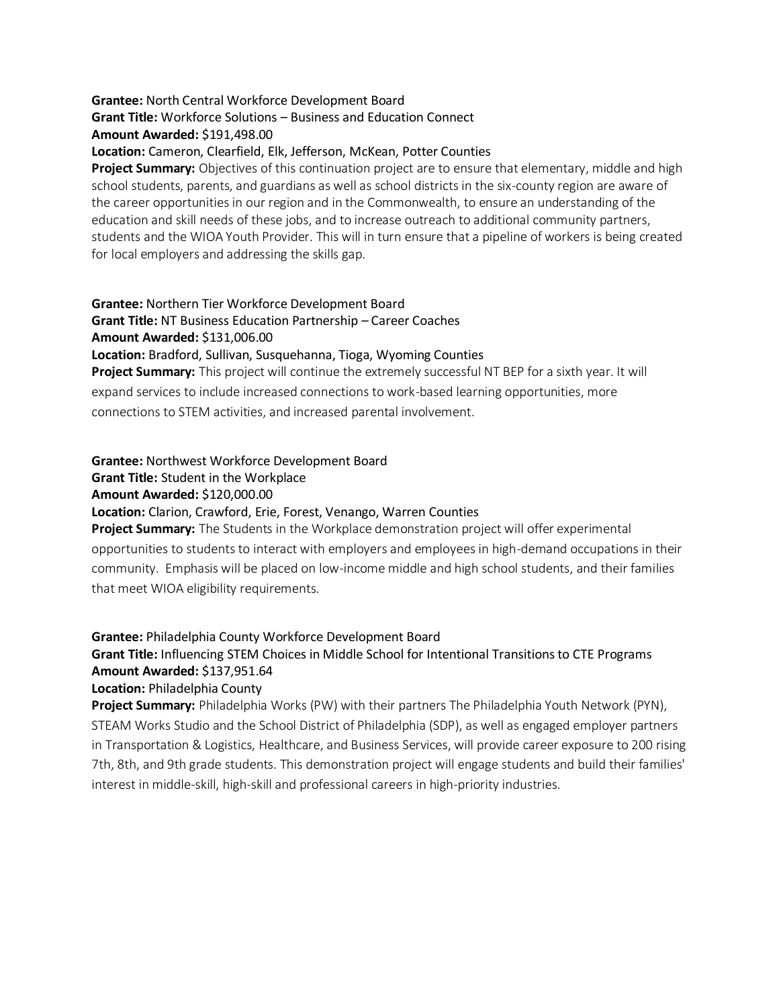## **Grantee:** North Central Workforce Development Board

### **Grant Title:** Workforce Solutions – Business and Education Connect

**Amount Awarded:** \$191,498.00

**Location:** Cameron, Clearfield, Elk, Jefferson, McKean, Potter Counties

**Project Summary:** Objectives of this continuation project are to ensure that elementary, middle and high school students, parents, and guardians as well as school districts in the six-county region are aware of the career opportunities in our region and in the Commonwealth, to ensure an understanding of the education and skill needs of these jobs, and to increase outreach to additional community partners, students and the WIOA Youth Provider. This will in turn ensure that a pipeline of workers is being created for local employers and addressing the skills gap.

## **Grantee:** Northern Tier Workforce Development Board **Grant Title:** NT Business Education Partnership – Career Coaches **Amount Awarded:** \$131,006.00

**Location:** Bradford, Sullivan, Susquehanna, Tioga, Wyoming Counties

**Project Summary:** This project will continue the extremely successful NT BEP for a sixth year. It will expand services to include increased connections to work-based learning opportunities, more connections to STEM activities, and increased parental involvement.

## **Grantee:** Northwest Workforce Development Board

**Grant Title:** Student in the Workplace

### **Amount Awarded:** \$120,000.00

## **Location:** Clarion, Crawford, Erie, Forest, Venango, Warren Counties

**Project Summary:** The Students in the Workplace demonstration project will offer experimental opportunities to students to interact with employers and employees in high-demand occupations in their community. Emphasis will be placed on low-income middle and high school students, and their families that meet WIOA eligibility requirements.

## **Grantee:** Philadelphia County Workforce Development Board

## **Grant Title:** Influencing STEM Choices in Middle School for Intentional Transitions to CTE Programs **Amount Awarded:** \$137,951.64

#### **Location:** Philadelphia County

**Project Summary:** Philadelphia Works (PW) with their partners The Philadelphia Youth Network (PYN), STEAM Works Studio and the School District of Philadelphia (SDP), as well as engaged employer partners in Transportation & Logistics, Healthcare, and Business Services, will provide career exposure to 200 rising 7th, 8th, and 9th grade students. This demonstration project will engage students and build their families' interest in middle-skill, high-skill and professional careers in high-priority industries.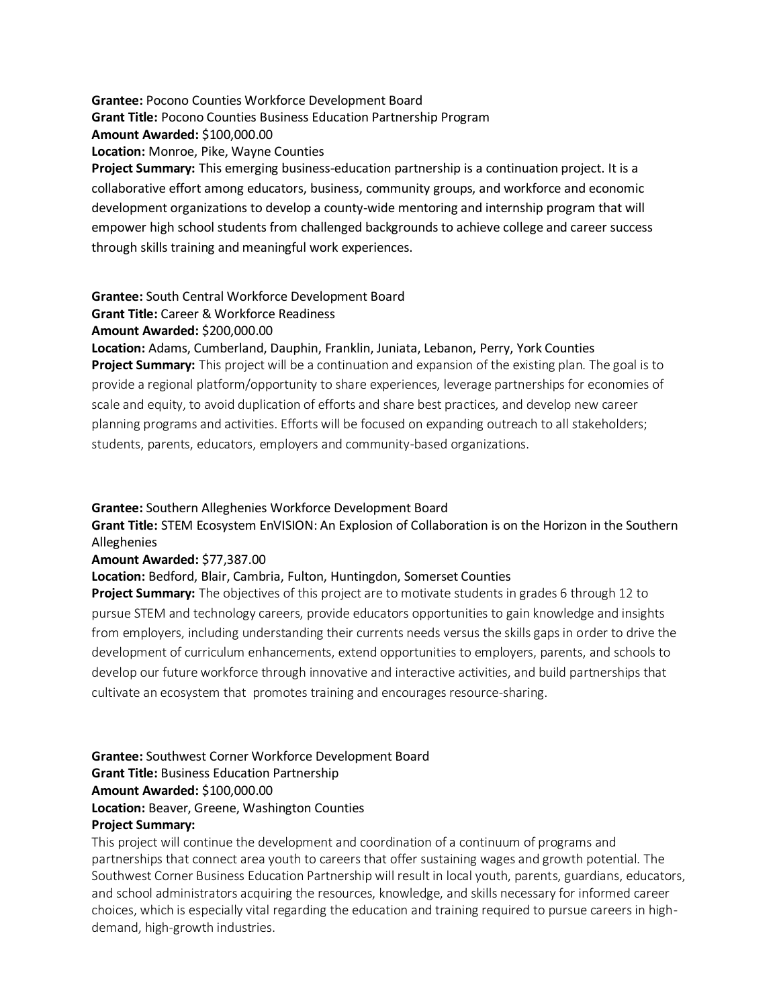**Grantee:** Pocono Counties Workforce Development Board **Grant Title:** Pocono Counties Business Education Partnership Program **Amount Awarded:** \$100,000.00 **Location:** Monroe, Pike, Wayne Counties **Project Summary:** This emerging business-education partnership is a continuation project. It is a collaborative effort among educators, business, community groups, and workforce and economic development organizations to develop a county-wide mentoring and internship program that will empower high school students from challenged backgrounds to achieve college and career success through skills training and meaningful work experiences.

**Grantee:** South Central Workforce Development Board

**Grant Title:** Career & Workforce Readiness

**Amount Awarded:** \$200,000.00

**Location:** Adams, Cumberland, Dauphin, Franklin, Juniata, Lebanon, Perry, York Counties

**Project Summary:** This project will be a continuation and expansion of the existing plan. The goal is to provide a regional platform/opportunity to share experiences, leverage partnerships for economies of scale and equity, to avoid duplication of efforts and share best practices, and develop new career planning programs and activities. Efforts will be focused on expanding outreach to all stakeholders; students, parents, educators, employers and community-based organizations.

#### **Grantee:** Southern Alleghenies Workforce Development Board

**Grant Title:** STEM Ecosystem EnVISION: An Explosion of Collaboration is on the Horizon in the Southern Alleghenies

#### **Amount Awarded:** \$77,387.00

#### **Location:** Bedford, Blair, Cambria, Fulton, Huntingdon, Somerset Counties

**Project Summary:** The objectives of this project are to motivate students in grades 6 through 12 to pursue STEM and technology careers, provide educators opportunities to gain knowledge and insights from employers, including understanding their currents needs versus the skills gaps in order to drive the development of curriculum enhancements, extend opportunities to employers, parents, and schools to develop our future workforce through innovative and interactive activities, and build partnerships that cultivate an ecosystem that promotes training and encourages resource-sharing.

## **Grantee:** Southwest Corner Workforce Development Board **Grant Title:** Business Education Partnership **Amount Awarded:** \$100,000.00 **Location:** Beaver, Greene, Washington Counties **Project Summary:**

This project will continue the development and coordination of a continuum of programs and partnerships that connect area youth to careers that offer sustaining wages and growth potential. The Southwest Corner Business Education Partnership will result in local youth, parents, guardians, educators, and school administrators acquiring the resources, knowledge, and skills necessary for informed career choices, which is especially vital regarding the education and training required to pursue careers in highdemand, high-growth industries.